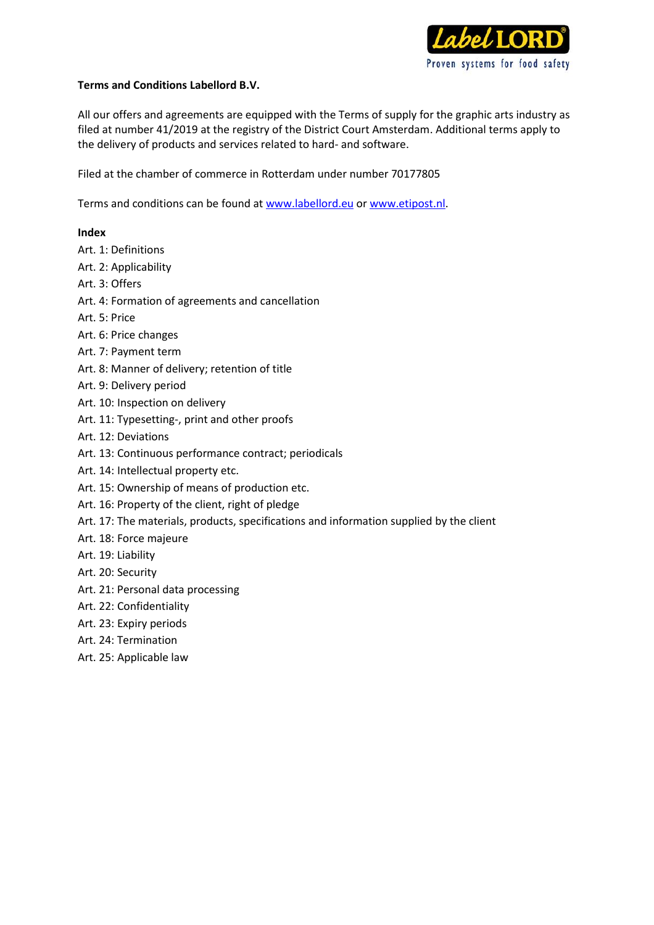

## **Terms and Conditions Labellord B.V.**

All our offers and agreements are equipped with the Terms of supply for the graphic arts industry as filed at number 41/2019 at the registry of the District Court Amsterdam. Additional terms apply to the delivery of products and services related to hard- and software.

Filed at the chamber of commerce in Rotterdam under number 70177805

Terms and conditions can be found at www.labellord.eu o[r www.etipost.nl.](http://www.etipost.nl/)

### **Index**

- Art. 1: Definitions
- Art. 2: Applicability
- Art. 3: Offers
- Art. 4: Formation of agreements and cancellation
- Art. 5: Price
- Art. 6: Price changes
- Art. 7: Payment term
- Art. 8: Manner of delivery; retention of title
- Art. 9: Delivery period
- Art. 10: Inspection on delivery
- Art. 11: Typesetting-, print and other proofs
- Art. 12: Deviations
- Art. 13: Continuous performance contract; periodicals
- Art. 14: Intellectual property etc.
- Art. 15: Ownership of means of production etc.
- Art. 16: Property of the client, right of pledge
- Art. 17: The materials, products, specifications and information supplied by the client
- Art. 18: Force majeure
- Art. 19: Liability
- Art. 20: Security
- Art. 21: Personal data processing
- Art. 22: Confidentiality
- Art. 23: Expiry periods
- Art. 24: Termination
- Art. 25: Applicable law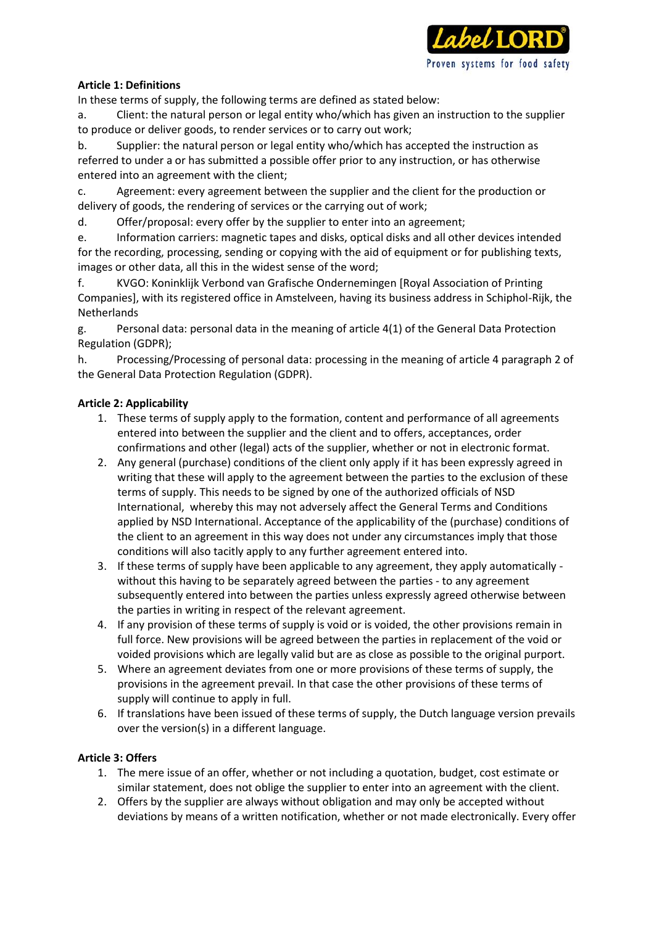

# **Article 1: Definitions**

In these terms of supply, the following terms are defined as stated below:

a. Client: the natural person or legal entity who/which has given an instruction to the supplier to produce or deliver goods, to render services or to carry out work;

b. Supplier: the natural person or legal entity who/which has accepted the instruction as referred to under a or has submitted a possible offer prior to any instruction, or has otherwise entered into an agreement with the client;

c. Agreement: every agreement between the supplier and the client for the production or delivery of goods, the rendering of services or the carrying out of work;

d. Offer/proposal: every offer by the supplier to enter into an agreement;

e. Information carriers: magnetic tapes and disks, optical disks and all other devices intended for the recording, processing, sending or copying with the aid of equipment or for publishing texts, images or other data, all this in the widest sense of the word;

f. KVGO: Koninklijk Verbond van Grafische Ondernemingen [Royal Association of Printing Companies], with its registered office in Amstelveen, having its business address in Schiphol-Rijk, the Netherlands

g. Personal data: personal data in the meaning of article 4(1) of the General Data Protection Regulation (GDPR);

h. Processing/Processing of personal data: processing in the meaning of article 4 paragraph 2 of the General Data Protection Regulation (GDPR).

## **Article 2: Applicability**

- 1. These terms of supply apply to the formation, content and performance of all agreements entered into between the supplier and the client and to offers, acceptances, order confirmations and other (legal) acts of the supplier, whether or not in electronic format.
- 2. Any general (purchase) conditions of the client only apply if it has been expressly agreed in writing that these will apply to the agreement between the parties to the exclusion of these terms of supply. This needs to be signed by one of the authorized officials of NSD International, whereby this may not adversely affect the General Terms and Conditions applied by NSD International. Acceptance of the applicability of the (purchase) conditions of the client to an agreement in this way does not under any circumstances imply that those conditions will also tacitly apply to any further agreement entered into.
- 3. If these terms of supply have been applicable to any agreement, they apply automatically without this having to be separately agreed between the parties - to any agreement subsequently entered into between the parties unless expressly agreed otherwise between the parties in writing in respect of the relevant agreement.
- 4. If any provision of these terms of supply is void or is voided, the other provisions remain in full force. New provisions will be agreed between the parties in replacement of the void or voided provisions which are legally valid but are as close as possible to the original purport.
- 5. Where an agreement deviates from one or more provisions of these terms of supply, the provisions in the agreement prevail. In that case the other provisions of these terms of supply will continue to apply in full.
- 6. If translations have been issued of these terms of supply, the Dutch language version prevails over the version(s) in a different language.

# **Article 3: Offers**

- 1. The mere issue of an offer, whether or not including a quotation, budget, cost estimate or similar statement, does not oblige the supplier to enter into an agreement with the client.
- 2. Offers by the supplier are always without obligation and may only be accepted without deviations by means of a written notification, whether or not made electronically. Every offer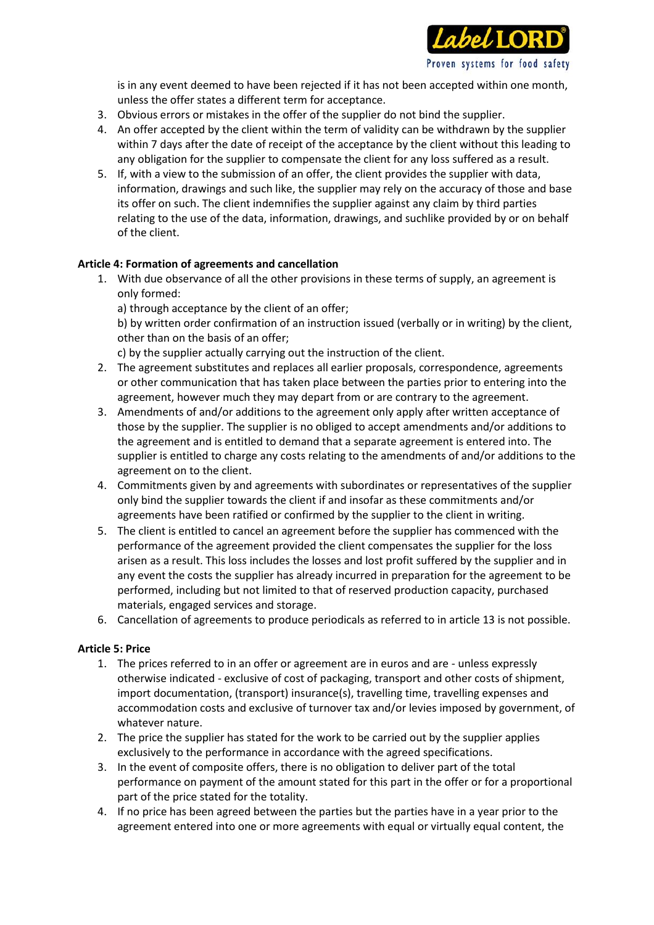

is in any event deemed to have been rejected if it has not been accepted within one month, unless the offer states a different term for acceptance.

- 3. Obvious errors or mistakes in the offer of the supplier do not bind the supplier.
- 4. An offer accepted by the client within the term of validity can be withdrawn by the supplier within 7 days after the date of receipt of the acceptance by the client without this leading to any obligation for the supplier to compensate the client for any loss suffered as a result.
- 5. If, with a view to the submission of an offer, the client provides the supplier with data, information, drawings and such like, the supplier may rely on the accuracy of those and base its offer on such. The client indemnifies the supplier against any claim by third parties relating to the use of the data, information, drawings, and suchlike provided by or on behalf of the client.

## **Article 4: Formation of agreements and cancellation**

- 1. With due observance of all the other provisions in these terms of supply, an agreement is only formed:
	- a) through acceptance by the client of an offer;

b) by written order confirmation of an instruction issued (verbally or in writing) by the client, other than on the basis of an offer;

c) by the supplier actually carrying out the instruction of the client.

- 2. The agreement substitutes and replaces all earlier proposals, correspondence, agreements or other communication that has taken place between the parties prior to entering into the agreement, however much they may depart from or are contrary to the agreement.
- 3. Amendments of and/or additions to the agreement only apply after written acceptance of those by the supplier. The supplier is no obliged to accept amendments and/or additions to the agreement and is entitled to demand that a separate agreement is entered into. The supplier is entitled to charge any costs relating to the amendments of and/or additions to the agreement on to the client.
- 4. Commitments given by and agreements with subordinates or representatives of the supplier only bind the supplier towards the client if and insofar as these commitments and/or agreements have been ratified or confirmed by the supplier to the client in writing.
- 5. The client is entitled to cancel an agreement before the supplier has commenced with the performance of the agreement provided the client compensates the supplier for the loss arisen as a result. This loss includes the losses and lost profit suffered by the supplier and in any event the costs the supplier has already incurred in preparation for the agreement to be performed, including but not limited to that of reserved production capacity, purchased materials, engaged services and storage.
- 6. Cancellation of agreements to produce periodicals as referred to in article 13 is not possible.

#### **Article 5: Price**

- 1. The prices referred to in an offer or agreement are in euros and are unless expressly otherwise indicated - exclusive of cost of packaging, transport and other costs of shipment, import documentation, (transport) insurance(s), travelling time, travelling expenses and accommodation costs and exclusive of turnover tax and/or levies imposed by government, of whatever nature.
- 2. The price the supplier has stated for the work to be carried out by the supplier applies exclusively to the performance in accordance with the agreed specifications.
- 3. In the event of composite offers, there is no obligation to deliver part of the total performance on payment of the amount stated for this part in the offer or for a proportional part of the price stated for the totality.
- 4. If no price has been agreed between the parties but the parties have in a year prior to the agreement entered into one or more agreements with equal or virtually equal content, the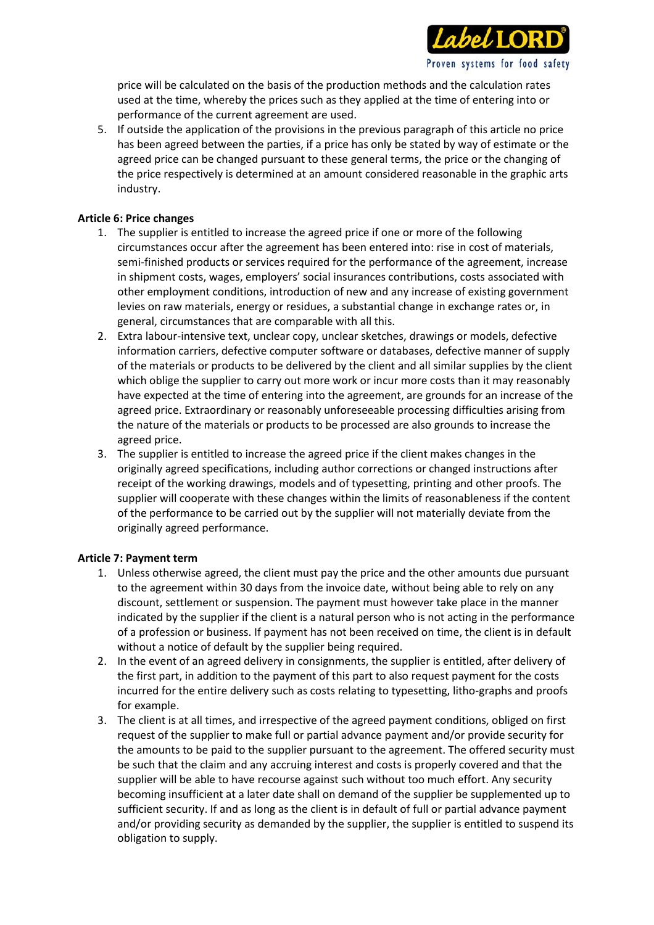

price will be calculated on the basis of the production methods and the calculation rates used at the time, whereby the prices such as they applied at the time of entering into or performance of the current agreement are used.

5. If outside the application of the provisions in the previous paragraph of this article no price has been agreed between the parties, if a price has only be stated by way of estimate or the agreed price can be changed pursuant to these general terms, the price or the changing of the price respectively is determined at an amount considered reasonable in the graphic arts industry.

## **Article 6: Price changes**

- 1. The supplier is entitled to increase the agreed price if one or more of the following circumstances occur after the agreement has been entered into: rise in cost of materials, semi-finished products or services required for the performance of the agreement, increase in shipment costs, wages, employers' social insurances contributions, costs associated with other employment conditions, introduction of new and any increase of existing government levies on raw materials, energy or residues, a substantial change in exchange rates or, in general, circumstances that are comparable with all this.
- 2. Extra labour-intensive text, unclear copy, unclear sketches, drawings or models, defective information carriers, defective computer software or databases, defective manner of supply of the materials or products to be delivered by the client and all similar supplies by the client which oblige the supplier to carry out more work or incur more costs than it may reasonably have expected at the time of entering into the agreement, are grounds for an increase of the agreed price. Extraordinary or reasonably unforeseeable processing difficulties arising from the nature of the materials or products to be processed are also grounds to increase the agreed price.
- 3. The supplier is entitled to increase the agreed price if the client makes changes in the originally agreed specifications, including author corrections or changed instructions after receipt of the working drawings, models and of typesetting, printing and other proofs. The supplier will cooperate with these changes within the limits of reasonableness if the content of the performance to be carried out by the supplier will not materially deviate from the originally agreed performance.

#### **Article 7: Payment term**

- 1. Unless otherwise agreed, the client must pay the price and the other amounts due pursuant to the agreement within 30 days from the invoice date, without being able to rely on any discount, settlement or suspension. The payment must however take place in the manner indicated by the supplier if the client is a natural person who is not acting in the performance of a profession or business. If payment has not been received on time, the client is in default without a notice of default by the supplier being required.
- 2. In the event of an agreed delivery in consignments, the supplier is entitled, after delivery of the first part, in addition to the payment of this part to also request payment for the costs incurred for the entire delivery such as costs relating to typesetting, litho-graphs and proofs for example.
- 3. The client is at all times, and irrespective of the agreed payment conditions, obliged on first request of the supplier to make full or partial advance payment and/or provide security for the amounts to be paid to the supplier pursuant to the agreement. The offered security must be such that the claim and any accruing interest and costs is properly covered and that the supplier will be able to have recourse against such without too much effort. Any security becoming insufficient at a later date shall on demand of the supplier be supplemented up to sufficient security. If and as long as the client is in default of full or partial advance payment and/or providing security as demanded by the supplier, the supplier is entitled to suspend its obligation to supply.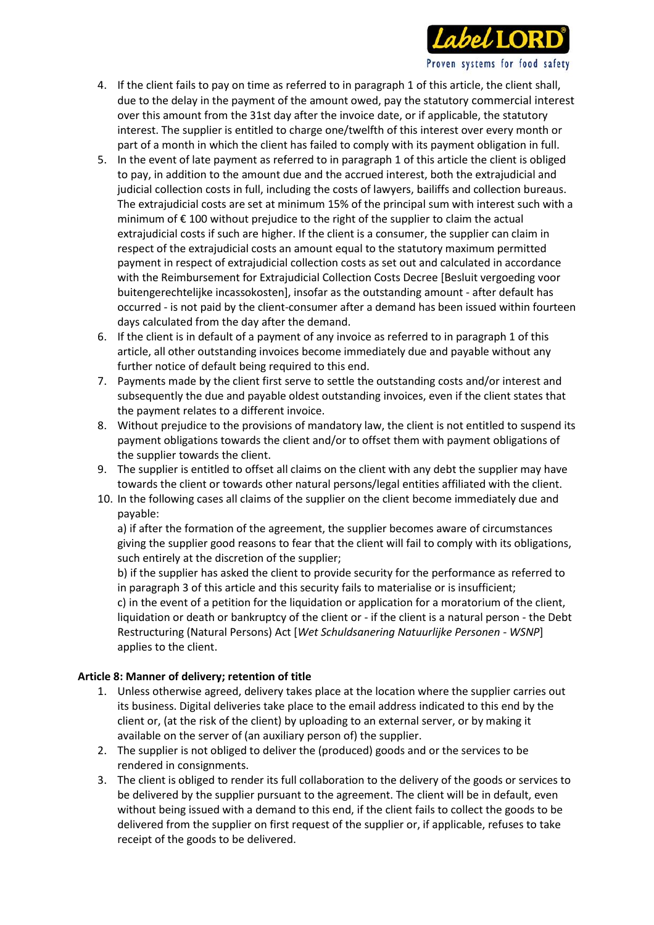

- 4. If the client fails to pay on time as referred to in paragraph 1 of this article, the client shall, due to the delay in the payment of the amount owed, pay the statutory commercial interest over this amount from the 31st day after the invoice date, or if applicable, the statutory interest. The supplier is entitled to charge one/twelfth of this interest over every month or part of a month in which the client has failed to comply with its payment obligation in full.
- 5. In the event of late payment as referred to in paragraph 1 of this article the client is obliged to pay, in addition to the amount due and the accrued interest, both the extrajudicial and judicial collection costs in full, including the costs of lawyers, bailiffs and collection bureaus. The extrajudicial costs are set at minimum 15% of the principal sum with interest such with a minimum of € 100 without prejudice to the right of the supplier to claim the actual extrajudicial costs if such are higher. If the client is a consumer, the supplier can claim in respect of the extrajudicial costs an amount equal to the statutory maximum permitted payment in respect of extrajudicial collection costs as set out and calculated in accordance with the Reimbursement for Extrajudicial Collection Costs Decree [Besluit vergoeding voor buitengerechtelijke incassokosten], insofar as the outstanding amount - after default has occurred - is not paid by the client-consumer after a demand has been issued within fourteen days calculated from the day after the demand.
- 6. If the client is in default of a payment of any invoice as referred to in paragraph 1 of this article, all other outstanding invoices become immediately due and payable without any further notice of default being required to this end.
- 7. Payments made by the client first serve to settle the outstanding costs and/or interest and subsequently the due and payable oldest outstanding invoices, even if the client states that the payment relates to a different invoice.
- 8. Without prejudice to the provisions of mandatory law, the client is not entitled to suspend its payment obligations towards the client and/or to offset them with payment obligations of the supplier towards the client.
- 9. The supplier is entitled to offset all claims on the client with any debt the supplier may have towards the client or towards other natural persons/legal entities affiliated with the client.
- 10. In the following cases all claims of the supplier on the client become immediately due and payable:

a) if after the formation of the agreement, the supplier becomes aware of circumstances giving the supplier good reasons to fear that the client will fail to comply with its obligations, such entirely at the discretion of the supplier;

b) if the supplier has asked the client to provide security for the performance as referred to in paragraph 3 of this article and this security fails to materialise or is insufficient; c) in the event of a petition for the liquidation or application for a moratorium of the client, liquidation or death or bankruptcy of the client or - if the client is a natural person - the Debt Restructuring (Natural Persons) Act [*Wet Schuldsanering Natuurlijke Personen - WSNP*] applies to the client.

#### **Article 8: Manner of delivery; retention of title**

- 1. Unless otherwise agreed, delivery takes place at the location where the supplier carries out its business. Digital deliveries take place to the email address indicated to this end by the client or, (at the risk of the client) by uploading to an external server, or by making it available on the server of (an auxiliary person of) the supplier.
- 2. The supplier is not obliged to deliver the (produced) goods and or the services to be rendered in consignments.
- 3. The client is obliged to render its full collaboration to the delivery of the goods or services to be delivered by the supplier pursuant to the agreement. The client will be in default, even without being issued with a demand to this end, if the client fails to collect the goods to be delivered from the supplier on first request of the supplier or, if applicable, refuses to take receipt of the goods to be delivered.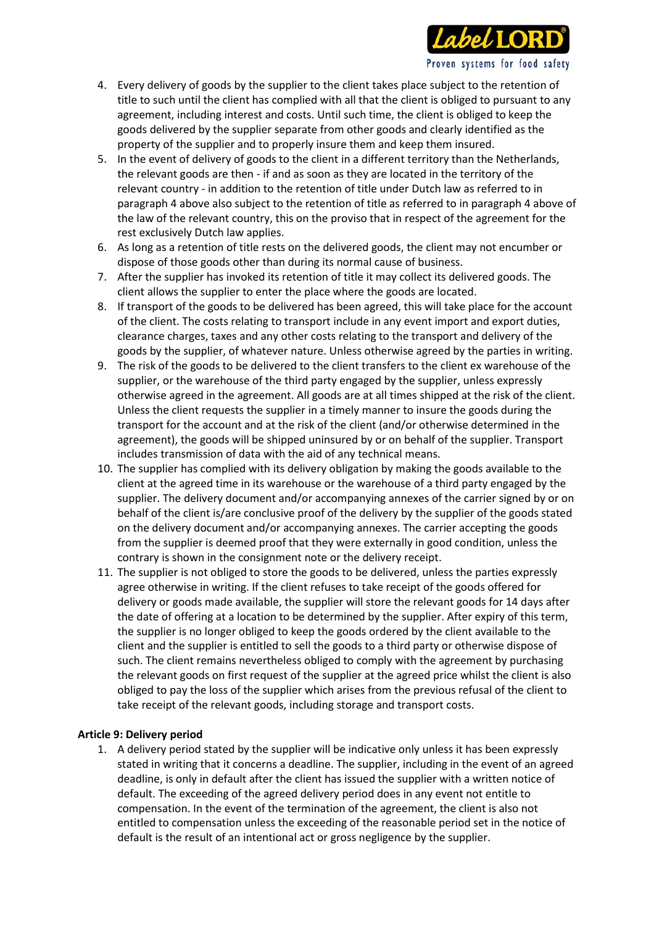

- 4. Every delivery of goods by the supplier to the client takes place subject to the retention of title to such until the client has complied with all that the client is obliged to pursuant to any agreement, including interest and costs. Until such time, the client is obliged to keep the goods delivered by the supplier separate from other goods and clearly identified as the property of the supplier and to properly insure them and keep them insured.
- 5. In the event of delivery of goods to the client in a different territory than the Netherlands, the relevant goods are then - if and as soon as they are located in the territory of the relevant country - in addition to the retention of title under Dutch law as referred to in paragraph 4 above also subject to the retention of title as referred to in paragraph 4 above of the law of the relevant country, this on the proviso that in respect of the agreement for the rest exclusively Dutch law applies.
- 6. As long as a retention of title rests on the delivered goods, the client may not encumber or dispose of those goods other than during its normal cause of business.
- 7. After the supplier has invoked its retention of title it may collect its delivered goods. The client allows the supplier to enter the place where the goods are located.
- 8. If transport of the goods to be delivered has been agreed, this will take place for the account of the client. The costs relating to transport include in any event import and export duties, clearance charges, taxes and any other costs relating to the transport and delivery of the goods by the supplier, of whatever nature. Unless otherwise agreed by the parties in writing.
- 9. The risk of the goods to be delivered to the client transfers to the client ex warehouse of the supplier, or the warehouse of the third party engaged by the supplier, unless expressly otherwise agreed in the agreement. All goods are at all times shipped at the risk of the client. Unless the client requests the supplier in a timely manner to insure the goods during the transport for the account and at the risk of the client (and/or otherwise determined in the agreement), the goods will be shipped uninsured by or on behalf of the supplier. Transport includes transmission of data with the aid of any technical means.
- 10. The supplier has complied with its delivery obligation by making the goods available to the client at the agreed time in its warehouse or the warehouse of a third party engaged by the supplier. The delivery document and/or accompanying annexes of the carrier signed by or on behalf of the client is/are conclusive proof of the delivery by the supplier of the goods stated on the delivery document and/or accompanying annexes. The carrier accepting the goods from the supplier is deemed proof that they were externally in good condition, unless the contrary is shown in the consignment note or the delivery receipt.
- 11. The supplier is not obliged to store the goods to be delivered, unless the parties expressly agree otherwise in writing. If the client refuses to take receipt of the goods offered for delivery or goods made available, the supplier will store the relevant goods for 14 days after the date of offering at a location to be determined by the supplier. After expiry of this term, the supplier is no longer obliged to keep the goods ordered by the client available to the client and the supplier is entitled to sell the goods to a third party or otherwise dispose of such. The client remains nevertheless obliged to comply with the agreement by purchasing the relevant goods on first request of the supplier at the agreed price whilst the client is also obliged to pay the loss of the supplier which arises from the previous refusal of the client to take receipt of the relevant goods, including storage and transport costs.

#### **Article 9: Delivery period**

1. A delivery period stated by the supplier will be indicative only unless it has been expressly stated in writing that it concerns a deadline. The supplier, including in the event of an agreed deadline, is only in default after the client has issued the supplier with a written notice of default. The exceeding of the agreed delivery period does in any event not entitle to compensation. In the event of the termination of the agreement, the client is also not entitled to compensation unless the exceeding of the reasonable period set in the notice of default is the result of an intentional act or gross negligence by the supplier.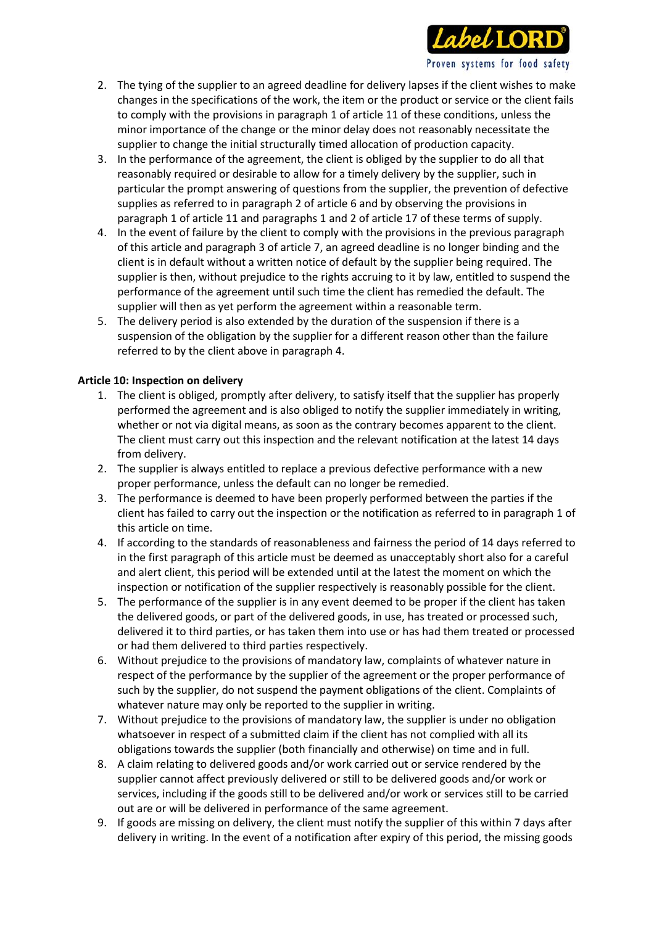

- 2. The tying of the supplier to an agreed deadline for delivery lapses if the client wishes to make changes in the specifications of the work, the item or the product or service or the client fails to comply with the provisions in paragraph 1 of article 11 of these conditions, unless the minor importance of the change or the minor delay does not reasonably necessitate the supplier to change the initial structurally timed allocation of production capacity.
- 3. In the performance of the agreement, the client is obliged by the supplier to do all that reasonably required or desirable to allow for a timely delivery by the supplier, such in particular the prompt answering of questions from the supplier, the prevention of defective supplies as referred to in paragraph 2 of article 6 and by observing the provisions in paragraph 1 of article 11 and paragraphs 1 and 2 of article 17 of these terms of supply.
- 4. In the event of failure by the client to comply with the provisions in the previous paragraph of this article and paragraph 3 of article 7, an agreed deadline is no longer binding and the client is in default without a written notice of default by the supplier being required. The supplier is then, without prejudice to the rights accruing to it by law, entitled to suspend the performance of the agreement until such time the client has remedied the default. The supplier will then as yet perform the agreement within a reasonable term.
- 5. The delivery period is also extended by the duration of the suspension if there is a suspension of the obligation by the supplier for a different reason other than the failure referred to by the client above in paragraph 4.

## **Article 10: Inspection on delivery**

- 1. The client is obliged, promptly after delivery, to satisfy itself that the supplier has properly performed the agreement and is also obliged to notify the supplier immediately in writing, whether or not via digital means, as soon as the contrary becomes apparent to the client. The client must carry out this inspection and the relevant notification at the latest 14 days from delivery.
- 2. The supplier is always entitled to replace a previous defective performance with a new proper performance, unless the default can no longer be remedied.
- 3. The performance is deemed to have been properly performed between the parties if the client has failed to carry out the inspection or the notification as referred to in paragraph 1 of this article on time.
- 4. If according to the standards of reasonableness and fairness the period of 14 days referred to in the first paragraph of this article must be deemed as unacceptably short also for a careful and alert client, this period will be extended until at the latest the moment on which the inspection or notification of the supplier respectively is reasonably possible for the client.
- 5. The performance of the supplier is in any event deemed to be proper if the client has taken the delivered goods, or part of the delivered goods, in use, has treated or processed such, delivered it to third parties, or has taken them into use or has had them treated or processed or had them delivered to third parties respectively.
- 6. Without prejudice to the provisions of mandatory law, complaints of whatever nature in respect of the performance by the supplier of the agreement or the proper performance of such by the supplier, do not suspend the payment obligations of the client. Complaints of whatever nature may only be reported to the supplier in writing.
- 7. Without prejudice to the provisions of mandatory law, the supplier is under no obligation whatsoever in respect of a submitted claim if the client has not complied with all its obligations towards the supplier (both financially and otherwise) on time and in full.
- 8. A claim relating to delivered goods and/or work carried out or service rendered by the supplier cannot affect previously delivered or still to be delivered goods and/or work or services, including if the goods still to be delivered and/or work or services still to be carried out are or will be delivered in performance of the same agreement.
- 9. If goods are missing on delivery, the client must notify the supplier of this within 7 days after delivery in writing. In the event of a notification after expiry of this period, the missing goods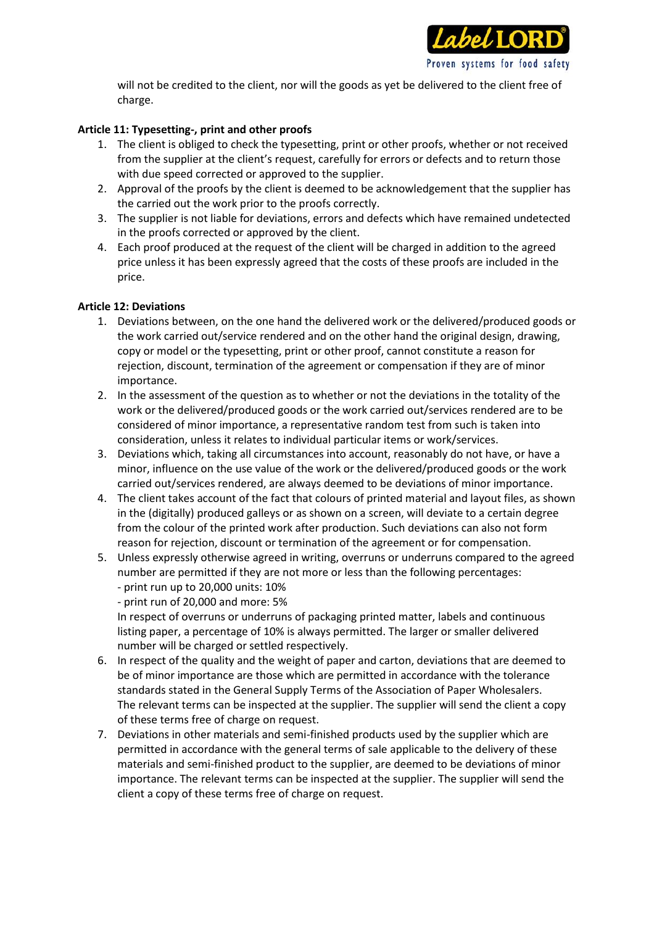

will not be credited to the client, nor will the goods as yet be delivered to the client free of charge.

## **Article 11: Typesetting-, print and other proofs**

- 1. The client is obliged to check the typesetting, print or other proofs, whether or not received from the supplier at the client's request, carefully for errors or defects and to return those with due speed corrected or approved to the supplier.
- 2. Approval of the proofs by the client is deemed to be acknowledgement that the supplier has the carried out the work prior to the proofs correctly.
- 3. The supplier is not liable for deviations, errors and defects which have remained undetected in the proofs corrected or approved by the client.
- 4. Each proof produced at the request of the client will be charged in addition to the agreed price unless it has been expressly agreed that the costs of these proofs are included in the price.

#### **Article 12: Deviations**

- 1. Deviations between, on the one hand the delivered work or the delivered/produced goods or the work carried out/service rendered and on the other hand the original design, drawing, copy or model or the typesetting, print or other proof, cannot constitute a reason for rejection, discount, termination of the agreement or compensation if they are of minor importance.
- 2. In the assessment of the question as to whether or not the deviations in the totality of the work or the delivered/produced goods or the work carried out/services rendered are to be considered of minor importance, a representative random test from such is taken into consideration, unless it relates to individual particular items or work/services.
- 3. Deviations which, taking all circumstances into account, reasonably do not have, or have a minor, influence on the use value of the work or the delivered/produced goods or the work carried out/services rendered, are always deemed to be deviations of minor importance.
- 4. The client takes account of the fact that colours of printed material and layout files, as shown in the (digitally) produced galleys or as shown on a screen, will deviate to a certain degree from the colour of the printed work after production. Such deviations can also not form reason for rejection, discount or termination of the agreement or for compensation.
- 5. Unless expressly otherwise agreed in writing, overruns or underruns compared to the agreed number are permitted if they are not more or less than the following percentages: - print run up to 20,000 units: 10%
	- print run of 20,000 and more: 5%

In respect of overruns or underruns of packaging printed matter, labels and continuous listing paper, a percentage of 10% is always permitted. The larger or smaller delivered number will be charged or settled respectively.

- 6. In respect of the quality and the weight of paper and carton, deviations that are deemed to be of minor importance are those which are permitted in accordance with the tolerance standards stated in the General Supply Terms of the Association of Paper Wholesalers. The relevant terms can be inspected at the supplier. The supplier will send the client a copy of these terms free of charge on request.
- 7. Deviations in other materials and semi-finished products used by the supplier which are permitted in accordance with the general terms of sale applicable to the delivery of these materials and semi-finished product to the supplier, are deemed to be deviations of minor importance. The relevant terms can be inspected at the supplier. The supplier will send the client a copy of these terms free of charge on request.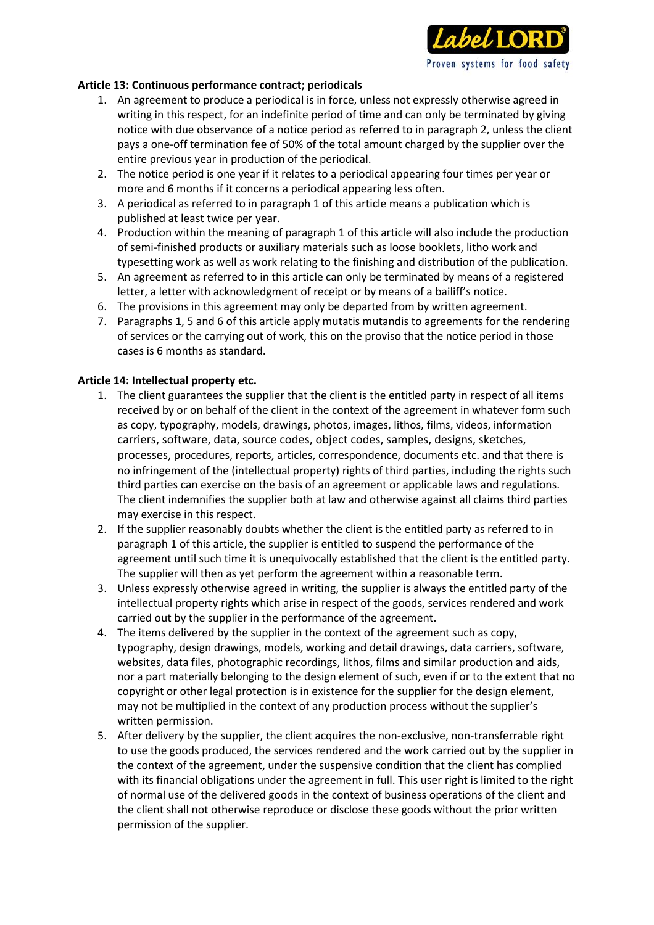

#### **Article 13: Continuous performance contract; periodicals**

- 1. An agreement to produce a periodical is in force, unless not expressly otherwise agreed in writing in this respect, for an indefinite period of time and can only be terminated by giving notice with due observance of a notice period as referred to in paragraph 2, unless the client pays a one-off termination fee of 50% of the total amount charged by the supplier over the entire previous year in production of the periodical.
- 2. The notice period is one year if it relates to a periodical appearing four times per year or more and 6 months if it concerns a periodical appearing less often.
- 3. A periodical as referred to in paragraph 1 of this article means a publication which is published at least twice per year.
- 4. Production within the meaning of paragraph 1 of this article will also include the production of semi-finished products or auxiliary materials such as loose booklets, litho work and typesetting work as well as work relating to the finishing and distribution of the publication.
- 5. An agreement as referred to in this article can only be terminated by means of a registered letter, a letter with acknowledgment of receipt or by means of a bailiff's notice.
- 6. The provisions in this agreement may only be departed from by written agreement.
- 7. Paragraphs 1, 5 and 6 of this article apply mutatis mutandis to agreements for the rendering of services or the carrying out of work, this on the proviso that the notice period in those cases is 6 months as standard.

#### **Article 14: Intellectual property etc.**

- 1. The client guarantees the supplier that the client is the entitled party in respect of all items received by or on behalf of the client in the context of the agreement in whatever form such as copy, typography, models, drawings, photos, images, lithos, films, videos, information carriers, software, data, source codes, object codes, samples, designs, sketches, processes, procedures, reports, articles, correspondence, documents etc. and that there is no infringement of the (intellectual property) rights of third parties, including the rights such third parties can exercise on the basis of an agreement or applicable laws and regulations. The client indemnifies the supplier both at law and otherwise against all claims third parties may exercise in this respect.
- 2. If the supplier reasonably doubts whether the client is the entitled party as referred to in paragraph 1 of this article, the supplier is entitled to suspend the performance of the agreement until such time it is unequivocally established that the client is the entitled party. The supplier will then as yet perform the agreement within a reasonable term.
- 3. Unless expressly otherwise agreed in writing, the supplier is always the entitled party of the intellectual property rights which arise in respect of the goods, services rendered and work carried out by the supplier in the performance of the agreement.
- 4. The items delivered by the supplier in the context of the agreement such as copy, typography, design drawings, models, working and detail drawings, data carriers, software, websites, data files, photographic recordings, lithos, films and similar production and aids, nor a part materially belonging to the design element of such, even if or to the extent that no copyright or other legal protection is in existence for the supplier for the design element, may not be multiplied in the context of any production process without the supplier's written permission.
- 5. After delivery by the supplier, the client acquires the non-exclusive, non-transferrable right to use the goods produced, the services rendered and the work carried out by the supplier in the context of the agreement, under the suspensive condition that the client has complied with its financial obligations under the agreement in full. This user right is limited to the right of normal use of the delivered goods in the context of business operations of the client and the client shall not otherwise reproduce or disclose these goods without the prior written permission of the supplier.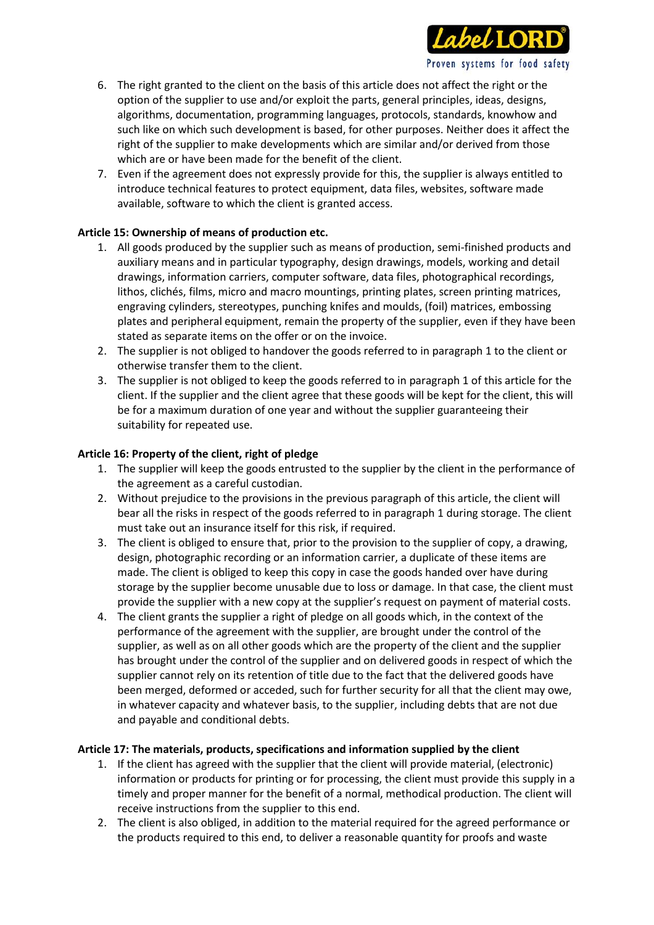

- 6. The right granted to the client on the basis of this article does not affect the right or the option of the supplier to use and/or exploit the parts, general principles, ideas, designs, algorithms, documentation, programming languages, protocols, standards, knowhow and such like on which such development is based, for other purposes. Neither does it affect the right of the supplier to make developments which are similar and/or derived from those which are or have been made for the benefit of the client.
- 7. Even if the agreement does not expressly provide for this, the supplier is always entitled to introduce technical features to protect equipment, data files, websites, software made available, software to which the client is granted access.

# **Article 15: Ownership of means of production etc.**

- 1. All goods produced by the supplier such as means of production, semi-finished products and auxiliary means and in particular typography, design drawings, models, working and detail drawings, information carriers, computer software, data files, photographical recordings, lithos, clichés, films, micro and macro mountings, printing plates, screen printing matrices, engraving cylinders, stereotypes, punching knifes and moulds, (foil) matrices, embossing plates and peripheral equipment, remain the property of the supplier, even if they have been stated as separate items on the offer or on the invoice.
- 2. The supplier is not obliged to handover the goods referred to in paragraph 1 to the client or otherwise transfer them to the client.
- 3. The supplier is not obliged to keep the goods referred to in paragraph 1 of this article for the client. If the supplier and the client agree that these goods will be kept for the client, this will be for a maximum duration of one year and without the supplier guaranteeing their suitability for repeated use.

## **Article 16: Property of the client, right of pledge**

- 1. The supplier will keep the goods entrusted to the supplier by the client in the performance of the agreement as a careful custodian.
- 2. Without prejudice to the provisions in the previous paragraph of this article, the client will bear all the risks in respect of the goods referred to in paragraph 1 during storage. The client must take out an insurance itself for this risk, if required.
- 3. The client is obliged to ensure that, prior to the provision to the supplier of copy, a drawing, design, photographic recording or an information carrier, a duplicate of these items are made. The client is obliged to keep this copy in case the goods handed over have during storage by the supplier become unusable due to loss or damage. In that case, the client must provide the supplier with a new copy at the supplier's request on payment of material costs.
- 4. The client grants the supplier a right of pledge on all goods which, in the context of the performance of the agreement with the supplier, are brought under the control of the supplier, as well as on all other goods which are the property of the client and the supplier has brought under the control of the supplier and on delivered goods in respect of which the supplier cannot rely on its retention of title due to the fact that the delivered goods have been merged, deformed or acceded, such for further security for all that the client may owe, in whatever capacity and whatever basis, to the supplier, including debts that are not due and payable and conditional debts.

#### **Article 17: The materials, products, specifications and information supplied by the client**

- 1. If the client has agreed with the supplier that the client will provide material, (electronic) information or products for printing or for processing, the client must provide this supply in a timely and proper manner for the benefit of a normal, methodical production. The client will receive instructions from the supplier to this end.
- 2. The client is also obliged, in addition to the material required for the agreed performance or the products required to this end, to deliver a reasonable quantity for proofs and waste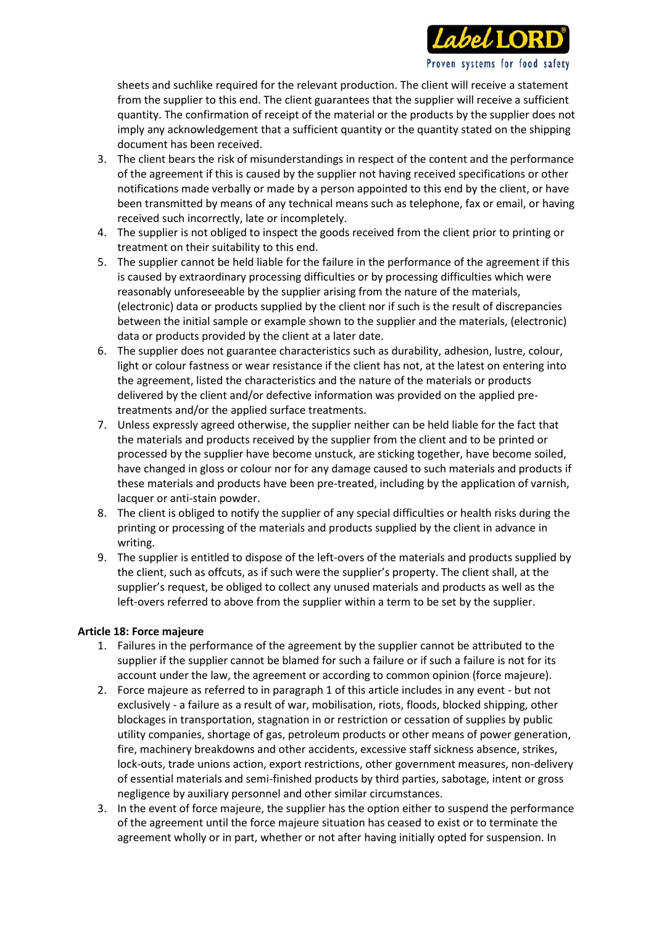

sheets and suchlike required for the relevant production. The client will receive a statement from the supplier to this end. The client guarantees that the supplier will receive a sufficient quantity. The confirmation of receipt of the material or the products by the supplier does not imply any acknowledgement that a sufficient quantity or the quantity stated on the shipping document has been received.

- 3. The client bears the risk of misunderstandings in respect of the content and the performance of the agreement if this is caused by the supplier not having received specifications or other notifications made verbally or made by a person appointed to this end by the client, or have been transmitted by means of any technical means such as telephone, fax or email, or having received such incorrectly, late or incompletely.
- 4. The supplier is not obliged to inspect the goods received from the client prior to printing or treatment on their suitability to this end.
- 5. The supplier cannot be held liable for the failure in the performance of the agreement if this is caused by extraordinary processing difficulties or by processing difficulties which were reasonably unforeseeable by the supplier arising from the nature of the materials, (electronic) data or products supplied by the client nor if such is the result of discrepancies between the initial sample or example shown to the supplier and the materials, (electronic) data or products provided by the client at a later date.
- 6. The supplier does not guarantee characteristics such as durability, adhesion, lustre, colour, light or colour fastness or wear resistance if the client has not, at the latest on entering into the agreement, listed the characteristics and the nature of the materials or products delivered by the client and/or defective information was provided on the applied pretreatments and/or the applied surface treatments.
- 7. Unless expressly agreed otherwise, the supplier neither can be held liable for the fact that the materials and products received by the supplier from the client and to be printed or processed by the supplier have become unstuck, are sticking together, have become soiled, have changed in gloss or colour nor for any damage caused to such materials and products if these materials and products have been pre-treated, including by the application of varnish, lacquer or anti-stain powder.
- 8. The client is obliged to notify the supplier of any special difficulties or health risks during the printing or processing of the materials and products supplied by the client in advance in writing.
- 9. The supplier is entitled to dispose of the left-overs of the materials and products supplied by the client, such as offcuts, as if such were the supplier's property. The client shall, at the supplier's request, be obliged to collect any unused materials and products as well as the left-overs referred to above from the supplier within a term to be set by the supplier.

#### **Article 18: Force majeure**

- 1. Failures in the performance of the agreement by the supplier cannot be attributed to the supplier if the supplier cannot be blamed for such a failure or if such a failure is not for its account under the law, the agreement or according to common opinion (force majeure).
- 2. Force majeure as referred to in paragraph 1 of this article includes in any event but not exclusively - a failure as a result of war, mobilisation, riots, floods, blocked shipping, other blockages in transportation, stagnation in or restriction or cessation of supplies by public utility companies, shortage of gas, petroleum products or other means of power generation, fire, machinery breakdowns and other accidents, excessive staff sickness absence, strikes, lock-outs, trade unions action, export restrictions, other government measures, non-delivery of essential materials and semi-finished products by third parties, sabotage, intent or gross negligence by auxiliary personnel and other similar circumstances.
- 3. In the event of force majeure, the supplier has the option either to suspend the performance of the agreement until the force majeure situation has ceased to exist or to terminate the agreement wholly or in part, whether or not after having initially opted for suspension. In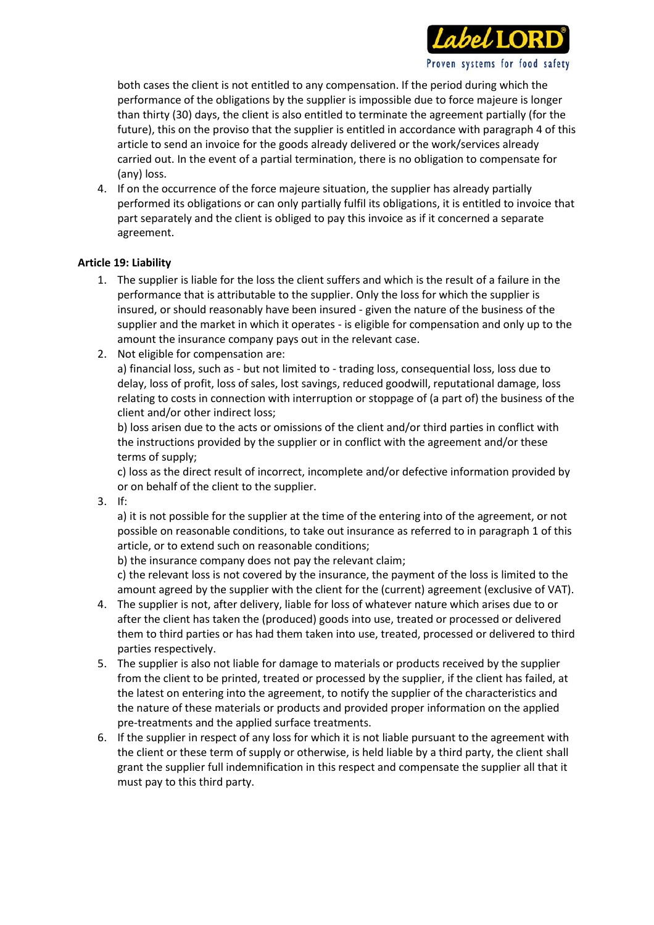

Proven systems for food safety

4. If on the occurrence of the force majeure situation, the supplier has already partially performed its obligations or can only partially fulfil its obligations, it is entitled to invoice that part separately and the client is obliged to pay this invoice as if it concerned a separate agreement.

## **Article 19: Liability**

- 1. The supplier is liable for the loss the client suffers and which is the result of a failure in the performance that is attributable to the supplier. Only the loss for which the supplier is insured, or should reasonably have been insured - given the nature of the business of the supplier and the market in which it operates - is eligible for compensation and only up to the amount the insurance company pays out in the relevant case.
- 2. Not eligible for compensation are:

a) financial loss, such as - but not limited to - trading loss, consequential loss, loss due to delay, loss of profit, loss of sales, lost savings, reduced goodwill, reputational damage, loss relating to costs in connection with interruption or stoppage of (a part of) the business of the client and/or other indirect loss;

b) loss arisen due to the acts or omissions of the client and/or third parties in conflict with the instructions provided by the supplier or in conflict with the agreement and/or these terms of supply;

c) loss as the direct result of incorrect, incomplete and/or defective information provided by or on behalf of the client to the supplier.

3. If:

a) it is not possible for the supplier at the time of the entering into of the agreement, or not possible on reasonable conditions, to take out insurance as referred to in paragraph 1 of this article, or to extend such on reasonable conditions;

b) the insurance company does not pay the relevant claim;

c) the relevant loss is not covered by the insurance, the payment of the loss is limited to the amount agreed by the supplier with the client for the (current) agreement (exclusive of VAT).

- 4. The supplier is not, after delivery, liable for loss of whatever nature which arises due to or after the client has taken the (produced) goods into use, treated or processed or delivered them to third parties or has had them taken into use, treated, processed or delivered to third parties respectively.
- 5. The supplier is also not liable for damage to materials or products received by the supplier from the client to be printed, treated or processed by the supplier, if the client has failed, at the latest on entering into the agreement, to notify the supplier of the characteristics and the nature of these materials or products and provided proper information on the applied pre-treatments and the applied surface treatments.
- 6. If the supplier in respect of any loss for which it is not liable pursuant to the agreement with the client or these term of supply or otherwise, is held liable by a third party, the client shall grant the supplier full indemnification in this respect and compensate the supplier all that it must pay to this third party.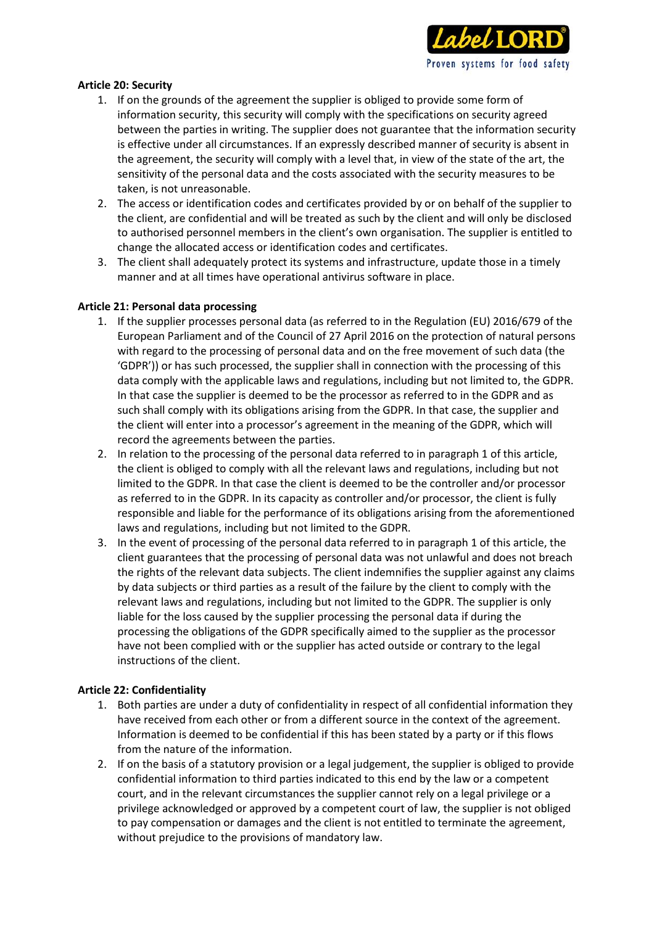

## **Article 20: Security**

- 1. If on the grounds of the agreement the supplier is obliged to provide some form of information security, this security will comply with the specifications on security agreed between the parties in writing. The supplier does not guarantee that the information security is effective under all circumstances. If an expressly described manner of security is absent in the agreement, the security will comply with a level that, in view of the state of the art, the sensitivity of the personal data and the costs associated with the security measures to be taken, is not unreasonable.
- 2. The access or identification codes and certificates provided by or on behalf of the supplier to the client, are confidential and will be treated as such by the client and will only be disclosed to authorised personnel members in the client's own organisation. The supplier is entitled to change the allocated access or identification codes and certificates.
- 3. The client shall adequately protect its systems and infrastructure, update those in a timely manner and at all times have operational antivirus software in place.

## **Article 21: Personal data processing**

- 1. If the supplier processes personal data (as referred to in the Regulation (EU) 2016/679 of the European Parliament and of the Council of 27 April 2016 on the protection of natural persons with regard to the processing of personal data and on the free movement of such data (the 'GDPR')) or has such processed, the supplier shall in connection with the processing of this data comply with the applicable laws and regulations, including but not limited to, the GDPR. In that case the supplier is deemed to be the processor as referred to in the GDPR and as such shall comply with its obligations arising from the GDPR. In that case, the supplier and the client will enter into a processor's agreement in the meaning of the GDPR, which will record the agreements between the parties.
- 2. In relation to the processing of the personal data referred to in paragraph 1 of this article, the client is obliged to comply with all the relevant laws and regulations, including but not limited to the GDPR. In that case the client is deemed to be the controller and/or processor as referred to in the GDPR. In its capacity as controller and/or processor, the client is fully responsible and liable for the performance of its obligations arising from the aforementioned laws and regulations, including but not limited to the GDPR.
- 3. In the event of processing of the personal data referred to in paragraph 1 of this article, the client guarantees that the processing of personal data was not unlawful and does not breach the rights of the relevant data subjects. The client indemnifies the supplier against any claims by data subjects or third parties as a result of the failure by the client to comply with the relevant laws and regulations, including but not limited to the GDPR. The supplier is only liable for the loss caused by the supplier processing the personal data if during the processing the obligations of the GDPR specifically aimed to the supplier as the processor have not been complied with or the supplier has acted outside or contrary to the legal instructions of the client.

# **Article 22: Confidentiality**

- 1. Both parties are under a duty of confidentiality in respect of all confidential information they have received from each other or from a different source in the context of the agreement. Information is deemed to be confidential if this has been stated by a party or if this flows from the nature of the information.
- 2. If on the basis of a statutory provision or a legal judgement, the supplier is obliged to provide confidential information to third parties indicated to this end by the law or a competent court, and in the relevant circumstances the supplier cannot rely on a legal privilege or a privilege acknowledged or approved by a competent court of law, the supplier is not obliged to pay compensation or damages and the client is not entitled to terminate the agreement, without prejudice to the provisions of mandatory law.